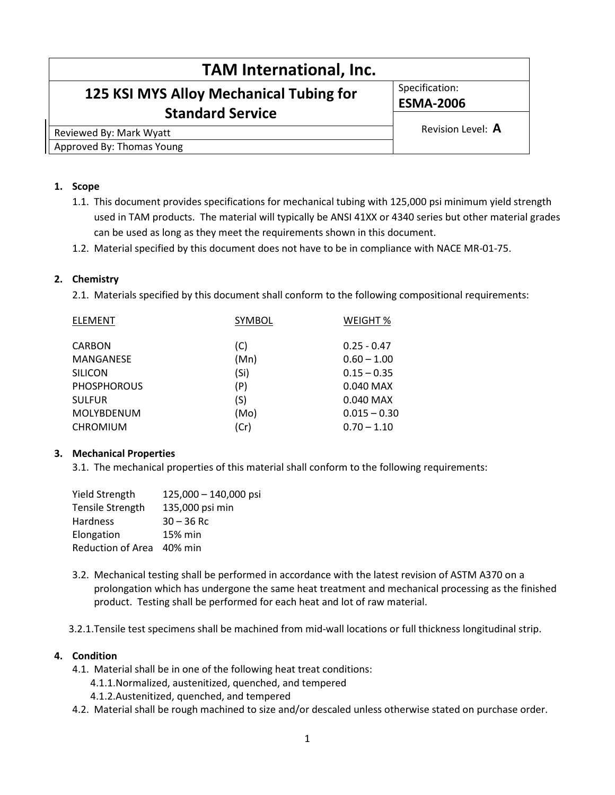| <b>TAM International, Inc.</b>                                     |                   |  |  |
|--------------------------------------------------------------------|-------------------|--|--|
| 125 KSI MYS Alloy Mechanical Tubing for<br><b>Standard Service</b> | Specification:    |  |  |
|                                                                    | <b>ESMA-2006</b>  |  |  |
|                                                                    |                   |  |  |
| Reviewed By: Mark Wyatt                                            | Revision Level: A |  |  |
| Approved By: Thomas Young                                          |                   |  |  |

### 1. Scope

- 1.1. This document provides specifications for mechanical tubing with 125,000 psi minimum yield strength used in TAM products. The material will typically be ANSI 41XX or 4340 series but other material grades can be used as long as they meet the requirements shown in this document.
- 1.2. Material specified by this document does not have to be in compliance with NACE MR-01-75.

### 2. Chemistry

2.1. Materials specified by this document shall conform to the following compositional requirements:

| <b>ELEMENT</b>     | SYMBOL | WEIGHT %       |
|--------------------|--------|----------------|
| <b>CARBON</b>      | (C)    | $0.25 - 0.47$  |
| MANGANESE          | (Mn)   | $0.60 - 1.00$  |
| <b>SILICON</b>     | (Si)   | $0.15 - 0.35$  |
| <b>PHOSPHOROUS</b> | (P)    | 0.040 MAX      |
| <b>SULFUR</b>      | (S)    | $0.040$ MAX    |
| MOLYBDENUM         | (Mo)   | $0.015 - 0.30$ |
| <b>CHROMIUM</b>    | (Cr)   | $0.70 - 1.10$  |
|                    |        |                |

### 3. Mechanical Properties

3.1. The mechanical properties of this material shall conform to the following requirements:

| <b>Yield Strength</b>   | $125,000 - 140,000$ psi |
|-------------------------|-------------------------|
| <b>Tensile Strength</b> | 135,000 psi min         |
| <b>Hardness</b>         | $30 - 36$ Rc            |
| Elongation              | 15% min                 |
| Reduction of Area       | 40% min                 |

- 3.2. Mechanical testing shall be performed in accordance with the latest revision of ASTM A370 on a prolongation which has undergone the same heat treatment and mechanical processing as the finished product. Testing shall be performed for each heat and lot of raw material.
- 3.2.1.Tensile test specimens shall be machined from mid-wall locations or full thickness longitudinal strip.

#### 4. Condition

- 4.1. Material shall be in one of the following heat treat conditions:
	- 4.1.1.Normalized, austenitized, quenched, and tempered
	- 4.1.2.Austenitized, quenched, and tempered
- 4.2. Material shall be rough machined to size and/or descaled unless otherwise stated on purchase order.